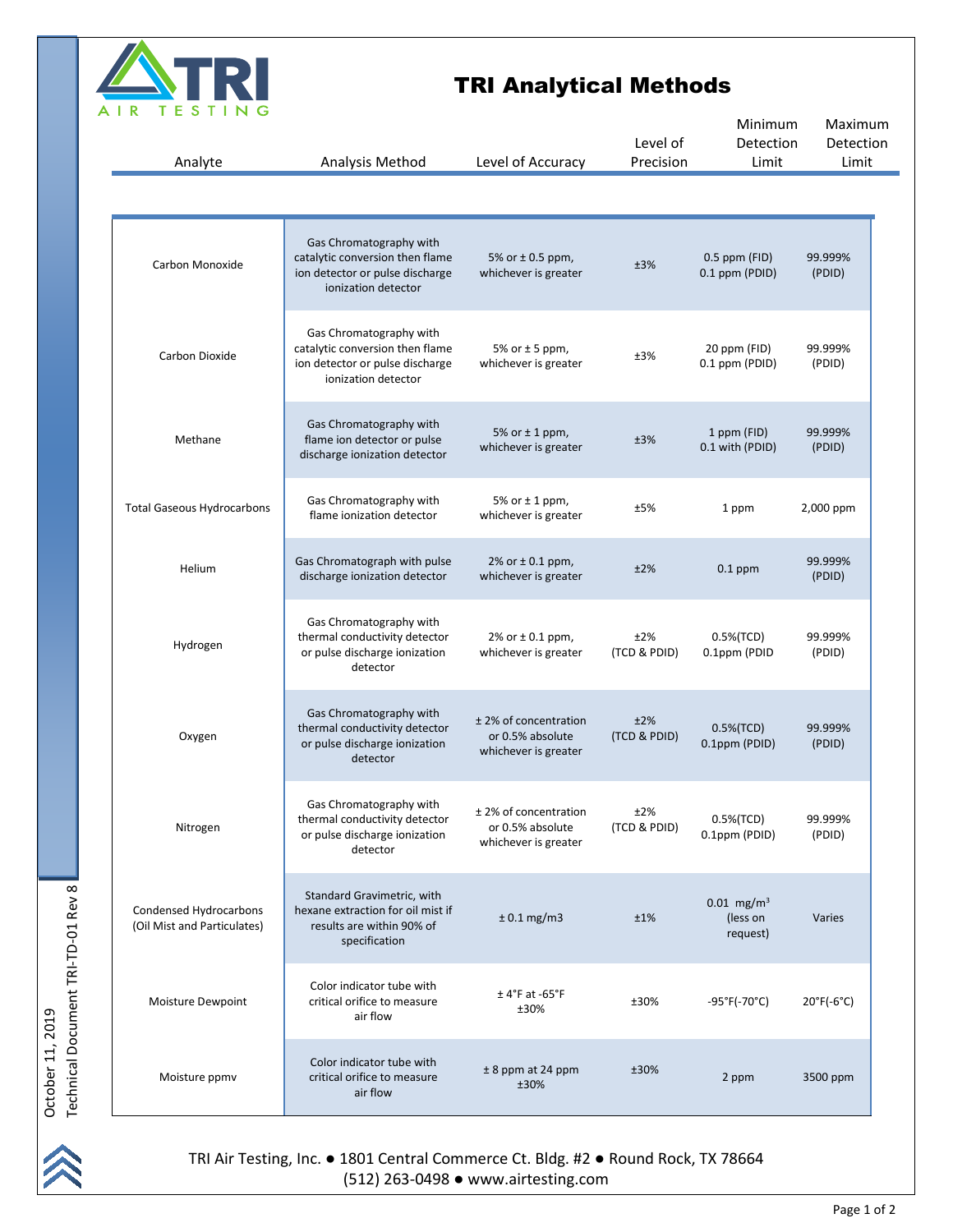

## TRI Analytical Methods

| Analyte                                               | Analysis Method                                                                                                      | Level of Accuracy                                                 | Level of<br>Precision | Minimum<br>Detection<br>Limit                    | Maximum<br>Detection<br>Limit   |
|-------------------------------------------------------|----------------------------------------------------------------------------------------------------------------------|-------------------------------------------------------------------|-----------------------|--------------------------------------------------|---------------------------------|
|                                                       |                                                                                                                      |                                                                   |                       |                                                  |                                 |
| Carbon Monoxide                                       | Gas Chromatography with<br>catalytic conversion then flame<br>ion detector or pulse discharge<br>ionization detector | 5% or $\pm$ 0.5 ppm,<br>whichever is greater                      | ±3%                   | 0.5 ppm (FID)<br>0.1 ppm (PDID)                  | 99.999%<br>(PDID)               |
| Carbon Dioxide                                        | Gas Chromatography with<br>catalytic conversion then flame<br>ion detector or pulse discharge<br>ionization detector | 5% or $±$ 5 ppm,<br>whichever is greater                          | ±3%                   | 20 ppm (FID)<br>0.1 ppm (PDID)                   | 99.999%<br>(PDID)               |
| Methane                                               | Gas Chromatography with<br>flame ion detector or pulse<br>discharge ionization detector                              | 5% or $±$ 1 ppm,<br>whichever is greater                          | ±3%                   | 1 ppm (FID)<br>0.1 with (PDID)                   | 99.999%<br>(PDID)               |
| <b>Total Gaseous Hydrocarbons</b>                     | Gas Chromatography with<br>flame ionization detector                                                                 | 5% or $\pm$ 1 ppm,<br>whichever is greater                        | ±5%                   | 1 ppm                                            | 2,000 ppm                       |
| Helium                                                | Gas Chromatograph with pulse<br>discharge ionization detector                                                        | 2% or $\pm$ 0.1 ppm,<br>whichever is greater                      | ±2%                   | $0.1$ ppm                                        | 99.999%<br>(PDID)               |
| Hydrogen                                              | Gas Chromatography with<br>thermal conductivity detector<br>or pulse discharge ionization<br>detector                | 2% or ± 0.1 ppm,<br>whichever is greater                          | ±2%<br>(TCD & PDID)   | 0.5%(TCD)<br>0.1ppm (PDID                        | 99.999%<br>(PDID)               |
| Oxygen                                                | Gas Chromatography with<br>thermal conductivity detector<br>or pulse discharge ionization<br>detector                | ± 2% of concentration<br>or 0.5% absolute<br>whichever is greater | ±2%<br>(TCD & PDID)   | $0.5\%$ (TCD)<br>0.1ppm (PDID)                   | 99.999%<br>(PDID)               |
| Nitrogen                                              | Gas Chromatography with<br>thermal conductivity detector<br>or pulse discharge ionization<br>detector                | ± 2% of concentration<br>or 0.5% absolute<br>whichever is greater | ±2%<br>(TCD & PDID)   | 0.5%(TCD)<br>0.1ppm (PDID)                       | 99.999%<br>(PDID)               |
| Condensed Hydrocarbons<br>(Oil Mist and Particulates) | Standard Gravimetric, with<br>hexane extraction for oil mist if<br>results are within 90% of<br>specification        | $± 0.1$ mg/m3                                                     | ±1%                   | $0.01$ mg/m <sup>3</sup><br>(less on<br>request) | Varies                          |
| Moisture Dewpoint                                     | Color indicator tube with<br>critical orifice to measure<br>air flow                                                 | $±$ 4°F at -65°F<br>±30%                                          | ±30%                  | $-95^{\circ}F(-70^{\circ}C)$                     | $20^{\circ}$ F(-6 $^{\circ}$ C) |
| Moisture ppmv                                         | Color indicator tube with<br>critical orifice to measure<br>air flow                                                 | $± 8$ ppm at 24 ppm<br>±30%                                       | ±30%                  | 2 ppm                                            | 3500 ppm                        |

October 11, 2019<br>Technical Document TRI-TD-01 Rev 8 Technical Document TRI-TD-01 Rev 8 October 11, 2019

TRI Air Testing, Inc. ● 1801 Central Commerce Ct. Bldg. #2 ● Round Rock, TX 78664 (512) 263-0498 ● www.airtesting.com